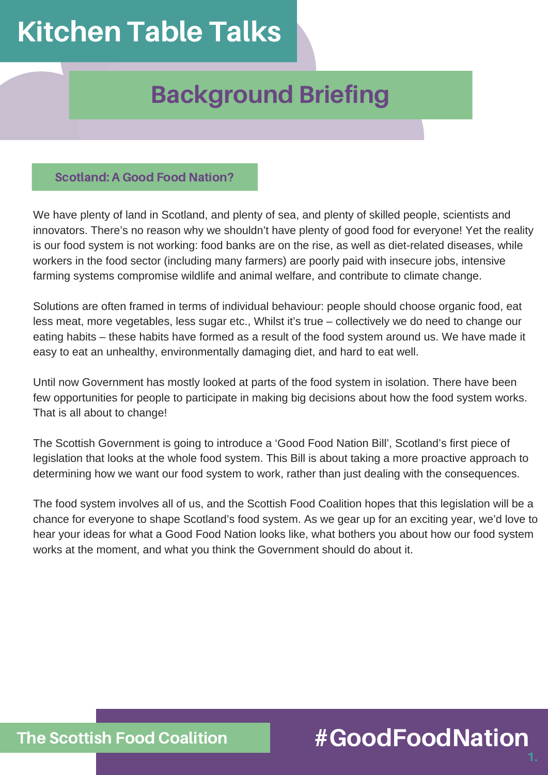## Kitchen Table Talks

## Background Briefing

#### Scotland: A Good Food Nation?

We have plenty of land in Scotland, and plenty of sea, and plenty of skilled people, scientists and innovators. There's no reason why we shouldn't have plenty of good food for everyone! Yet the reality is our food system is not working: food banks are on the rise, as well as diet-related diseases, while workers in the food sector (including many farmers) are poorly paid with insecure jobs, intensive farming systems compromise wildlife and animal welfare, and contribute to climate change.

Solutions are often framed in terms of individual behaviour: people should choose organic food, eat less meat, more vegetables, less sugar etc., Whilst it's true – collectively we do need to change our eating habits – these habits have formed as a result of the food system around us. We have made it easy to eat an unhealthy, environmentally damaging diet, and hard to eat well.

Until now Government has mostly looked at parts of the food system in isolation. There have been few opportunities for people to participate in making big decisions about how the food system works. That is all about to change!

The Scottish Government is going to introduce a 'Good Food Nation Bill', Scotland's first piece of legislation that looks at the whole food system. This Bill is about taking a more proactive approach to determining how we want our food system to work, rather than just dealing with the consequences.

The food system involves all of us, and the Scottish Food Coalition hopes that this legislation will be a chance for everyone to shape Scotland's food system. As we gear up for an exciting year, we'd love to hear your ideas for what a Good Food Nation looks like, what bothers you about how our food system works at the moment, and what you think the Government should do about it.

### #GoodFoodNation